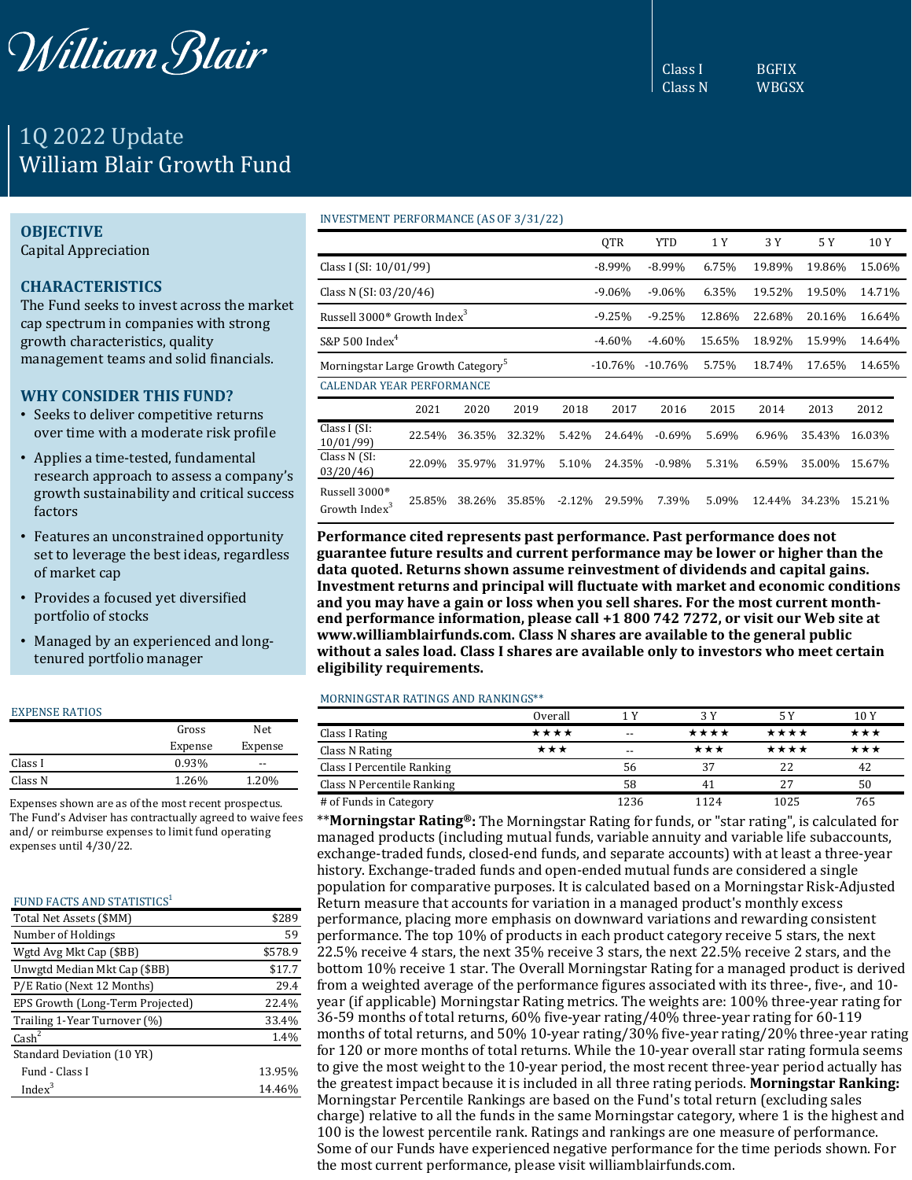

# 1Q 2022 Update William Blair Growth Fund

## **OBJECTIVE**

Capital Appreciation

# **CHARACTERISTICS**

The Fund seeks to invest across the market cap spectrum in companies with strong growth characteristics, quality management teams and solid financials.

# **WHY CONSIDER THIS FUND?**

- Seeks to deliver competitive returns over time with a moderate risk profile
- Applies a time-tested, fundamental research approach to assess a company's growth sustainability and critical success factors
- Features an unconstrained opportunity set to leverage the best ideas, regardless of market cap
- Provides a focused yet diversified portfolio of stocks
- Managed by an experienced and longtenured portfolio manager

#### EXPENSE RATIOS

|         | Gross   | Net.    |
|---------|---------|---------|
|         | Expense | Expense |
| Class I | 0.93%   | --      |
| Class N | 1.26%   | 1.20%   |
|         |         |         |

Expenses shown are as of the most recent prospectus. The Fund's Adviser has contractually agreed to waive fees and/ or reimburse expenses to limit fund operating expenses until 4/30/22.

## FUND FACTS AND STATISTICS<sup>1</sup>

| Total Net Assets (\$MM)          | \$289   |
|----------------------------------|---------|
| Number of Holdings               | 59      |
| Wgtd Avg Mkt Cap (\$BB)          | \$578.9 |
| Unwgtd Median Mkt Cap (\$BB)     | \$17.7  |
| P/E Ratio (Next 12 Months)       | 29.4    |
| EPS Growth (Long-Term Projected) | 22.4%   |
| Trailing 1-Year Turnover (%)     | 33.4%   |
| $\text{Cash}^2$                  | 1.4%    |
| Standard Deviation (10 YR)       |         |
| Fund - Class I                   | 13.95%  |
| Index $3$                        | 14.46%  |

#### INVESTMENT PERFORMANCE (AS OF 3/31/22)

|                                                        |        |        |        |            | <b>OTR</b> | <b>YTD</b> | 1 Y    | 3 Y    | 5 Y    | 10Y    |
|--------------------------------------------------------|--------|--------|--------|------------|------------|------------|--------|--------|--------|--------|
| Class I (SI: 10/01/99)                                 |        |        |        |            | $-8.99\%$  | $-8.99\%$  | 6.75%  | 19.89% | 19.86% | 15.06% |
| Class N (SI: 03/20/46)                                 |        |        |        | $-9.06\%$  | $-9.06%$   | 6.35%      | 19.52% | 19.50% | 14.71% |        |
| Russell 3000 <sup>®</sup> Growth Index <sup>3</sup>    |        |        |        | $-9.25%$   | $-9.25%$   | 12.86%     | 22.68% | 20.16% | 16.64% |        |
| S&P 500 $Index^4$                                      |        |        |        | $-4.60\%$  | $-4.60%$   | 15.65%     | 18.92% | 15.99% | 14.64% |        |
| Morningstar Large Growth Category <sup>5</sup>         |        |        |        | $-10.76\%$ | $-10.76%$  | 5.75%      | 18.74% | 17.65% | 14.65% |        |
| <b>CALENDAR YEAR PERFORMANCE</b>                       |        |        |        |            |            |            |        |        |        |        |
|                                                        | 2021   | 2020   | 2019   | 2018       | 2017       | 2016       | 2015   | 2014   | 2013   | 2012   |
| Class I (SI:<br>10/01/99                               | 22.54% | 36.35% | 32.32% | 5.42%      | 24.64%     | $-0.69\%$  | 5.69%  | 6.96%  | 35.43% | 16.03% |
| Class N (SI:<br>03/20/46                               | 22.09% | 35.97% | 31.97% | 5.10%      | 24.35%     | $-0.98\%$  | 5.31%  | 6.59%  | 35.00% | 15.67% |
| Russell 3000 <sup>®</sup><br>Growth Index <sup>3</sup> | 25.85% | 38.26% | 35.85% | $-2.12%$   | 29.59%     | 7.39%      | 5.09%  | 12.44% | 34.23% | 15.21% |

**Performance cited represents past performance. Past performance does not guarantee future results and current performance may be lower or higher than the data quoted. Returns shown assume reinvestment of dividends and capital gains. Investment returns and principal will fluctuate with market and economic conditions and you may have a gain or loss when you sell shares. For the most current monthend performance information, please call +1 800 742 7272, or visit our Web site at www.williamblairfunds.com. Class N shares are available to the general public without a sales load. Class I shares are available only to investors who meet certain eligibility requirements.**

## MORNINGSTAR RATINGS AND RANKINGS\*\*

|                            | Overall | 1 V   | 3 Y  |      | 10 Y |
|----------------------------|---------|-------|------|------|------|
| Class I Rating             | ****    | $- -$ | **** | **** | ***  |
| Class N Rating             | ★★★     | $- -$ | ***  | **** | ***  |
| Class I Percentile Ranking |         | 56    | 37   | 22   | 42   |
| Class N Percentile Ranking |         | 58    |      | 27   | 50   |
| # of Funds in Category     |         | 1236  | 1124 | 1025 | 765  |

\*\***Morningstar Rating®:** The Morningstar Rating for funds, or "star rating", is calculated for managed products (including mutual funds, variable annuity and variable life subaccounts, exchange-traded funds, closed-end funds, and separate accounts) with at least a three-year history. Exchange-traded funds and open-ended mutual funds are considered a single population for comparative purposes. It is calculated based on a Morningstar Risk-Adjusted Return measure that accounts for variation in a managed product's monthly excess performance, placing more emphasis on downward variations and rewarding consistent performance. The top 10% of products in each product category receive 5 stars, the next 22.5% receive 4 stars, the next 35% receive 3 stars, the next 22.5% receive 2 stars, and the bottom 10% receive 1 star. The Overall Morningstar Rating for a managed product is derived from a weighted average of the performance figures associated with its three-, five-, and 10 year (if applicable) Morningstar Rating metrics. The weights are: 100% three-year rating for 36-59 months of total returns, 60% five-year rating/40% three-year rating for 60-119 months of total returns, and 50% 10-year rating/30% five-year rating/20% three-year rating for 120 or more months of total returns. While the 10-year overall star rating formula seems to give the most weight to the 10-year period, the most recent three-year period actually has the greatest impact because it is included in all three rating periods. **Morningstar Ranking:**  Morningstar Percentile Rankings are based on the Fund's total return (excluding sales charge) relative to all the funds in the same Morningstar category, where 1 is the highest and 100 is the lowest percentile rank. Ratings and rankings are one measure of performance. Some of our Funds have experienced negative performance for the time periods shown. For the most current performance, please visit williamblairfunds.com.

Class I BGFIX

Class N WBGSX